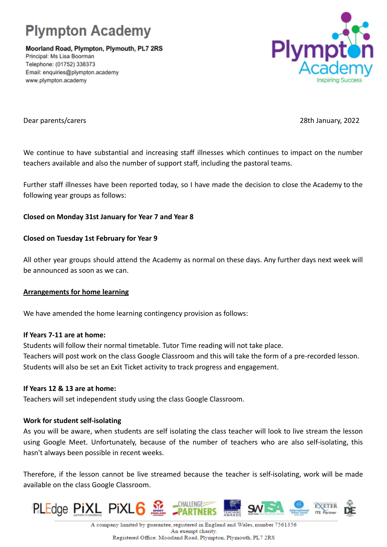

Moorland Road, Plympton, Plymouth, PL7 2RS Principal: Ms Lisa Boorman Telephone: (01752) 338373 Email: enquiries@plympton.academy www.plympton.academy



Dear parents/carers 28th January, 2022

We continue to have substantial and increasing staff illnesses which continues to impact on the number teachers available and also the number of support staff, including the pastoral teams.

Further staff illnesses have been reported today, so I have made the decision to close the Academy to the following year groups as follows:

# **Closed on Monday 31st January for Year 7 and Year 8**

## **Closed on Tuesday 1st February for Year 9**

All other year groups should attend the Academy as normal on these days. Any further days next week will be announced as soon as we can.

## **Arrangements for home learning**

We have amended the home learning contingency provision as follows:

### **If Years 7-11 are at home:**

Students will follow their normal timetable. Tutor Time reading will not take place. Teachers will post work on the class Google Classroom and this will take the form of a pre-recorded lesson. Students will also be set an Exit Ticket activity to track progress and engagement.

### **If Years 12 & 13 are at home:**

Teachers will set independent study using the class Google Classroom.

## **Work for student self-isolating**

As you will be aware, when students are self isolating the class teacher will look to live stream the lesson using Google Meet. Unfortunately, because of the number of teachers who are also self-isolating, this hasn't always been possible in recent weeks.

Therefore, if the lesson cannot be live streamed because the teacher is self-isolating, work will be made available on the class Google Classroom.